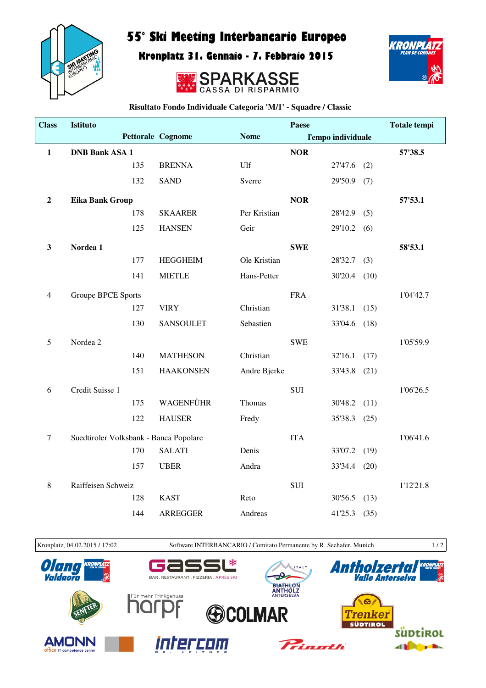

## 55° Ski Meeting Interbancario Europeo

Kronplatz 31. Gennaio - 7. Febbraio 2015





**Risultato Fondo Individuale Categoria 'M/1' - Squadre / Classic**

| <b>Class</b>   | <b>Istituto</b>                        |     |                   |              | Paese      |                          |      | <b>Totale tempi</b> |
|----------------|----------------------------------------|-----|-------------------|--------------|------------|--------------------------|------|---------------------|
|                |                                        |     | Pettorale Cognome | <b>Nome</b>  |            | <b>Tempo individuale</b> |      |                     |
| $\mathbf{1}$   | <b>DNB Bank ASA 1</b>                  |     |                   |              | <b>NOR</b> |                          |      | 57'38.5             |
|                |                                        | 135 | <b>BRENNA</b>     | Ulf          |            | 27'47.6                  | (2)  |                     |
|                |                                        | 132 | <b>SAND</b>       | Sverre       |            | 29'50.9                  | (7)  |                     |
| $\overline{2}$ | Eika Bank Group                        |     |                   |              | <b>NOR</b> |                          |      | 57'53.1             |
|                |                                        | 178 | <b>SKAARER</b>    | Per Kristian |            | 28'42.9                  | (5)  |                     |
|                |                                        | 125 | <b>HANSEN</b>     | Geir         |            | 29'10.2                  | (6)  |                     |
| $\mathbf{3}$   | Nordea 1                               |     |                   |              | <b>SWE</b> |                          |      | 58'53.1             |
|                |                                        | 177 | <b>HEGGHEIM</b>   | Ole Kristian |            | 28'32.7                  | (3)  |                     |
|                |                                        | 141 | <b>MIETLE</b>     | Hans-Petter  |            | 30'20.4                  | (10) |                     |
| $\overline{4}$ | <b>Groupe BPCE Sports</b>              |     |                   |              | <b>FRA</b> |                          |      | 1'04'42.7           |
|                |                                        | 127 | <b>VIRY</b>       | Christian    |            | 31'38.1                  | (15) |                     |
|                |                                        | 130 | <b>SANSOULET</b>  | Sebastien    |            | 33'04.6                  | (18) |                     |
| 5              | Nordea 2                               |     |                   |              | <b>SWE</b> |                          |      | 1'05'59.9           |
|                |                                        | 140 | <b>MATHESON</b>   | Christian    |            | 32'16.1                  | (17) |                     |
|                |                                        | 151 | <b>HAAKONSEN</b>  | Andre Bjerke |            | 33'43.8                  | (21) |                     |
| 6              | Credit Suisse 1                        |     |                   |              | <b>SUI</b> |                          |      | 1'06'26.5           |
|                |                                        | 175 | WAGENFÜHR         | Thomas       |            | 30'48.2                  | (11) |                     |
|                |                                        | 122 | <b>HAUSER</b>     | Fredy        |            | 35'38.3                  | (25) |                     |
| $\tau$         | Suedtiroler Volksbank - Banca Popolare |     |                   |              | <b>ITA</b> |                          |      | 1'06'41.6           |
|                |                                        | 170 | <b>SALATI</b>     | Denis        |            | 33'07.2                  | (19) |                     |
|                |                                        | 157 | <b>UBER</b>       | Andra        |            | 33'34.4                  | (20) |                     |
| $\,8\,$        | Raiffeisen Schweiz                     |     |                   |              | <b>SUI</b> |                          |      | 1'12'21.8           |
|                |                                        | 128 | <b>KAST</b>       | Reto         |            | 30'56.5                  | (13) |                     |
|                |                                        | 144 | <b>ARREGGER</b>   | Andreas      |            | 41'25.3                  | (35) |                     |



Kronplatz, 04.02.2015 / 17:02 Software INTERBANCARIO / Comitato Permanente by R. Seehafer, Munich 1 / 2